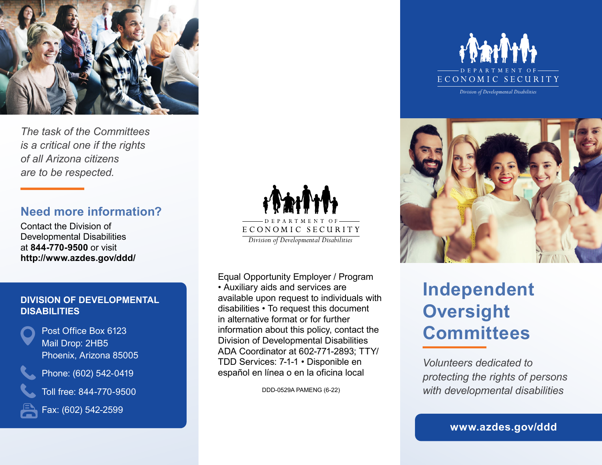

*The task of the Committees is a critical one if the rights of all Arizona citizens are to be respected.* 

# **Need more information?**

Contact the Division of Developmental Disabilities at **844-770-9500** or visit **<http://www.azdes.gov/ddd/>** 

#### **DIVISION OF DEVELOPMENTAL DISABILITIES**



Post Office Box 6123 Mail Drop: 2HB5 Phoenix, Arizona 85005

Phone: (602) 542-0419

Toll free: 844-770-9500



Fax: (602) 542-2599



Equal Opportunity Employer / Program • Auxiliary aids and services are available upon request to individuals with disabilities • To request this document in alternative format or for further information about this policy, contact the Division of Developmental Disabilities ADA Coordinator at 602-771-2893; TTY/ TDD Services: 7-1-1 • Disponible en español en línea o en la oficina local

DDD-0529A PAMENG (6-22)



*Division of Developmental Disabilities* 



# **Independent Oversight Committees**

*Volunteers dedicated to protecting the rights of persons with developmental disabilities*